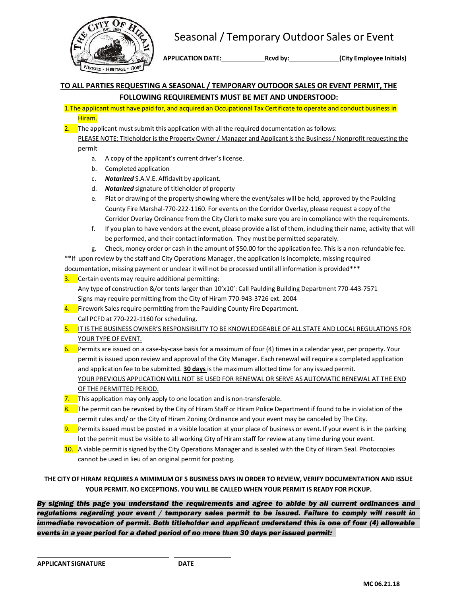

## Seasonal / Temporary Outdoor Sales or Event

**APPLICATIONDATE: Rcvd by: (City Employee Initials)**

#### **TO ALL PARTIES REQUESTING A SEASONAL / TEMPORARY OUTDOOR SALES OR EVENT PERMIT, THE FOLLOWING REQUIREMENTS MUST BE MET AND UNDERSTOOD:**

1.The applicant must have paid for, and acquired an Occupational Tax Certificate to operate and conduct business in Hiram.

**2.** The applicant must submit this application with all the required documentation as follows: PLEASE NOTE: Titleholder isthe Property Owner / Manager and Applicant isthe Business/ Nonprofit requesting the permit

- a. A copy of the applicant's current driver's license.
- b. Completed application
- c. *Notarized* S.A.V.E. Affidavit by applicant.
- d. *Notarized* signature of titleholder of property
- e. Plat or drawing of the property showing where the event/sales will be held, approved by the Paulding County Fire Marshal-770-222-1160. For events on the Corridor Overlay, please request a copy of the Corridor Overlay Ordinance from the City Clerk to make sure you are in compliance with the requirements.
- f. If you plan to have vendors at the event, please provide a list of them, including their name, activity that will be performed, and their contact information. They must be permitted separately.
- g. Check, money order or cash in the amount of \$50.00 for the application fee. This is a non-refundable fee.

\*\*If upon review by the staff and City Operations Manager, the application is incomplete, missing required documentation, missing payment or unclear it will not be processed until all information is provided\*\*\*

 $3.$  Certain events may require additional permitting:

Any type of construction &/or tents larger than 10'x10': Call Paulding Building Department 770-443-7571 Signs may require permitting from the City of Hiram 770-943-3726 ext. 2004

- 4. Firework Sales require permitting from the Paulding County Fire Department. Call PCFD at 770-222-1160 for scheduling.
- 5. IT IS THE BUSINESS OWNER'S RESPONSIBILITY TO BE KNOWLEDGEABLE OF ALL STATE AND LOCAL REGULATIONS FOR YOUR TYPE OF EVENT.
- 6. Permits are issued on a case-by-case basis for a maximum of four (4) times in a calendar year, per property. Your permit is issued upon review and approval of the City Manager. Each renewal will require a completed application and application fee to be submitted. **30 days** isthe maximum allotted time for any issued permit. YOUR PREVIOUS APPLICATION WILL NOT BE USED FOR RENEWAL OR SERVE AS AUTOMATIC RENEWAL AT THE END OF THE PERMITTED PERIOD.
- **7.** This application may only apply to one location and is non-transferable.
- 8. The permit can be revoked by the City of Hiram Staff or Hiram Police Department if found to be in violation of the permit rules and/ or the City of Hiram Zoning Ordinance and your event may be canceled by The City.
- 9. Permits issued must be posted in a visible location at your place of business or event. If your event is in the parking lot the permit must be visible to all working City of Hiram staff for review at any time during your event.
- 10. A viable permit is signed by the City Operations Manager and is sealed with the City of Hiram Seal. Photocopies cannot be used in lieu of an original permit for posting.

THE CITY OF HIRAM REQUIRES A MIMIMUM OF 5 BUSINESS DAYS IN ORDER TO REVIEW, VERIFY DOCUMENTATION AND ISSUE **YOUR PERMIT. NO EXCEPTIONS. YOU WILL BE CALLED WHEN YOUR PERMIT IS READY FOR PICKUP.**

*By signing this page you understand the requirements and agree to abide by all current ordinances and regulations regarding your event / temporary sales permit to be issued. Failure to comply will result in immediate revocation of permit. Both titleholder and applicant understand this is one of four (4) allowable events in a year period for a dated period of no more than 30 days per issued permit:*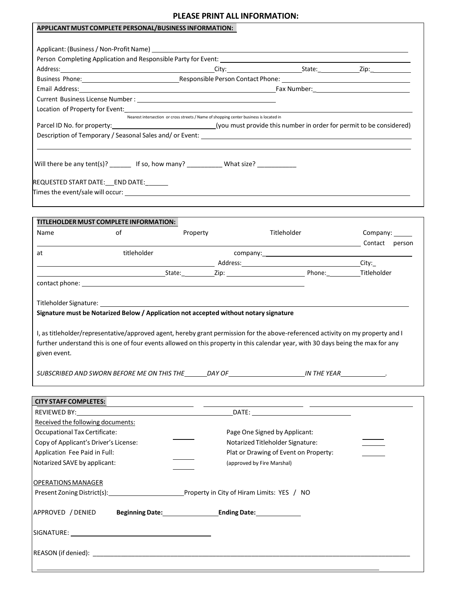#### **PLEASE PRINT ALL INFORMATION:**

| APPLICANT MUST COMPLETE PERSONAL/BUSINESS INFORMATION: |                                                                                                                |                                                                                        |                                                                                                                                                                                                                                                                     |                                                                   |                |
|--------------------------------------------------------|----------------------------------------------------------------------------------------------------------------|----------------------------------------------------------------------------------------|---------------------------------------------------------------------------------------------------------------------------------------------------------------------------------------------------------------------------------------------------------------------|-------------------------------------------------------------------|----------------|
|                                                        |                                                                                                                |                                                                                        | Applicant: (Business / Non-Profit Name) Law March 2014 19:30 19:30 19:30 19:30 19:30 19:30 19:30 19:30 19:30 1                                                                                                                                                      |                                                                   |                |
|                                                        |                                                                                                                |                                                                                        | Person Completing Application and Responsible Party for Event: Name of a state of the Second Application and Responsible Party for Event:                                                                                                                           |                                                                   |                |
|                                                        |                                                                                                                |                                                                                        |                                                                                                                                                                                                                                                                     |                                                                   |                |
|                                                        |                                                                                                                |                                                                                        |                                                                                                                                                                                                                                                                     |                                                                   |                |
|                                                        |                                                                                                                |                                                                                        |                                                                                                                                                                                                                                                                     |                                                                   |                |
|                                                        |                                                                                                                |                                                                                        |                                                                                                                                                                                                                                                                     |                                                                   |                |
|                                                        |                                                                                                                |                                                                                        |                                                                                                                                                                                                                                                                     |                                                                   |                |
|                                                        |                                                                                                                | Nearest intersection or cross streets / Name of shopping center business is located in |                                                                                                                                                                                                                                                                     |                                                                   |                |
|                                                        |                                                                                                                |                                                                                        | Parcel ID No. for property: 1990 Control 2009 Control Community County County County County County County County                                                                                                                                                    |                                                                   |                |
|                                                        |                                                                                                                |                                                                                        |                                                                                                                                                                                                                                                                     |                                                                   |                |
|                                                        | Will there be any tent(s)? _________ If so, how many? _____________ What size? ____________                    |                                                                                        |                                                                                                                                                                                                                                                                     |                                                                   |                |
|                                                        | REQUESTED START DATE: __ END DATE: _______                                                                     |                                                                                        |                                                                                                                                                                                                                                                                     |                                                                   |                |
|                                                        |                                                                                                                |                                                                                        |                                                                                                                                                                                                                                                                     |                                                                   |                |
|                                                        |                                                                                                                |                                                                                        |                                                                                                                                                                                                                                                                     |                                                                   |                |
|                                                        |                                                                                                                |                                                                                        |                                                                                                                                                                                                                                                                     |                                                                   |                |
|                                                        | TITLEHOLDER MUST COMPLETE INFORMATION:                                                                         |                                                                                        |                                                                                                                                                                                                                                                                     |                                                                   |                |
| Name                                                   | οf                                                                                                             | Property                                                                               | Titleholder                                                                                                                                                                                                                                                         |                                                                   | Company: _____ |
|                                                        |                                                                                                                |                                                                                        |                                                                                                                                                                                                                                                                     | Contact person                                                    |                |
| at                                                     | titleholder                                                                                                    |                                                                                        |                                                                                                                                                                                                                                                                     |                                                                   |                |
|                                                        |                                                                                                                |                                                                                        |                                                                                                                                                                                                                                                                     |                                                                   |                |
|                                                        |                                                                                                                |                                                                                        |                                                                                                                                                                                                                                                                     |                                                                   |                |
|                                                        | contact phone: the contact phone of the contact phone of the contact phone of the contact phone of the contact |                                                                                        |                                                                                                                                                                                                                                                                     |                                                                   |                |
| Titleholder Signature: Titleholder Signature:          | Signature must be Notarized Below / Application not accepted without notary signature                          |                                                                                        |                                                                                                                                                                                                                                                                     |                                                                   |                |
| given event.                                           |                                                                                                                |                                                                                        | I, as titleholder/representative/approved agent, hereby grant permission for the above-referenced activity on my property and I<br>further understand this is one of four events allowed on this property in this calendar year, with 30 days being the max for any |                                                                   |                |
|                                                        |                                                                                                                |                                                                                        |                                                                                                                                                                                                                                                                     |                                                                   |                |
| <b>CITY STAFF COMPLETES:</b>                           |                                                                                                                |                                                                                        |                                                                                                                                                                                                                                                                     |                                                                   |                |
|                                                        |                                                                                                                |                                                                                        |                                                                                                                                                                                                                                                                     | <u> 1989 - Johann John Stone, mars eta biztanleria (h. 1989).</u> |                |
| Received the following documents:                      |                                                                                                                |                                                                                        |                                                                                                                                                                                                                                                                     |                                                                   |                |
| <b>Occupational Tax Certificate:</b>                   |                                                                                                                |                                                                                        | Page One Signed by Applicant:                                                                                                                                                                                                                                       |                                                                   |                |
| Copy of Applicant's Driver's License:                  |                                                                                                                |                                                                                        | Notarized Titleholder Signature:                                                                                                                                                                                                                                    |                                                                   |                |
| Application Fee Paid in Full:                          |                                                                                                                |                                                                                        | Plat or Drawing of Event on Property:                                                                                                                                                                                                                               |                                                                   |                |
| Notarized SAVE by applicant:                           |                                                                                                                |                                                                                        | (approved by Fire Marshal)                                                                                                                                                                                                                                          |                                                                   |                |
|                                                        |                                                                                                                |                                                                                        |                                                                                                                                                                                                                                                                     |                                                                   |                |
| <b>OPERATIONS MANAGER</b>                              |                                                                                                                |                                                                                        |                                                                                                                                                                                                                                                                     |                                                                   |                |
|                                                        |                                                                                                                |                                                                                        | Present Zoning District(s): Property in City of Hiram Limits: YES / NO                                                                                                                                                                                              |                                                                   |                |
| APPROVED / DENIED                                      |                                                                                                                |                                                                                        |                                                                                                                                                                                                                                                                     |                                                                   |                |
|                                                        |                                                                                                                |                                                                                        |                                                                                                                                                                                                                                                                     |                                                                   |                |
|                                                        |                                                                                                                |                                                                                        |                                                                                                                                                                                                                                                                     |                                                                   |                |
|                                                        |                                                                                                                |                                                                                        |                                                                                                                                                                                                                                                                     |                                                                   |                |

<u> 1989 - Johann Stoff, deutscher Stoffen und der Stoffen und der Stoffen und der Stoffen und der Stoffen und d</u>